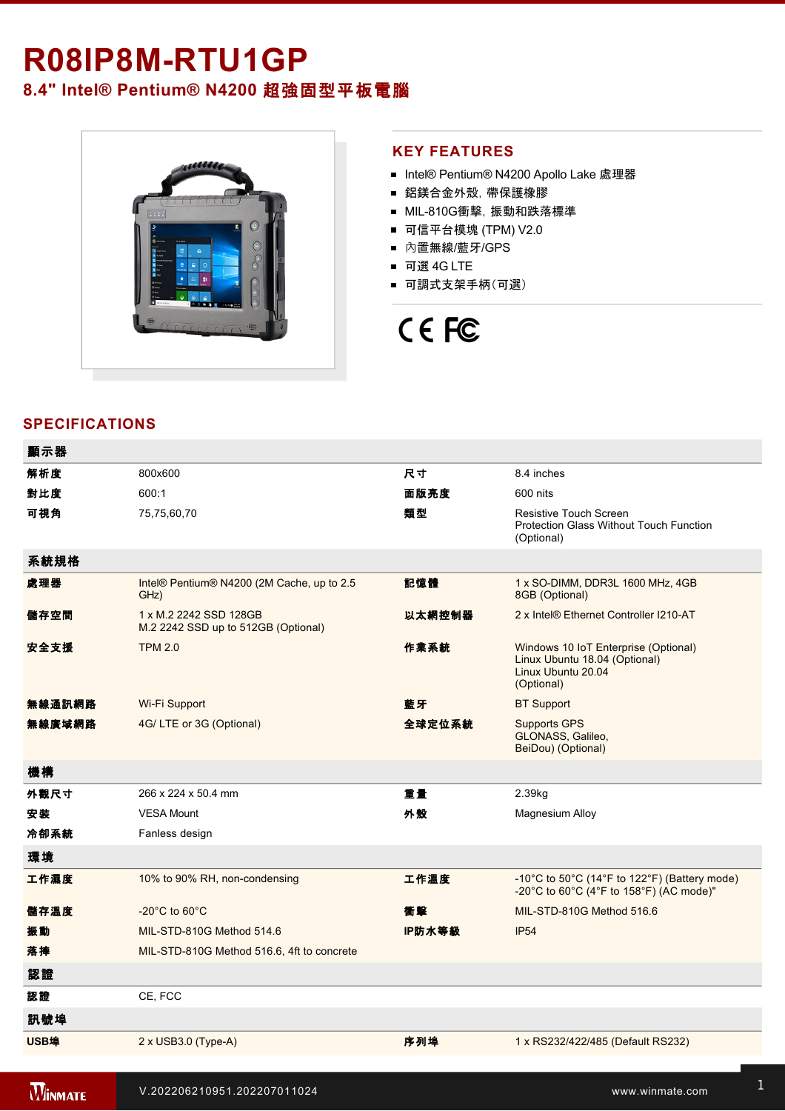# **R08IP8MRTU1GP**

**8.4" Intel® Pentium® N4200** 超強固型平板電腦



# **KEY FEATURES**

- Intel® Pentium® N4200 Apollo Lake 處理器
- 鋁鎂合金外殼, 帶保護橡膠
- MIL-810G衝撃, 振動和跌落標準
- 可信平台模塊 (TPM) V2.0
- 內置無線/藍牙/GPS
- 可選 4G LTE
- 可調式支架手柄(可選)

# CE FC

# **SPECIFICATIONS**

| 顯示器    |                                                               |        |                                                                                                           |
|--------|---------------------------------------------------------------|--------|-----------------------------------------------------------------------------------------------------------|
| 解析度    | 800x600                                                       | 尺寸     | 8.4 inches                                                                                                |
| 對比度    | 600:1                                                         | 面版亮度   | 600 nits                                                                                                  |
| 可視角    | 75,75,60,70                                                   | 類型     | Resistive Touch Screen<br><b>Protection Glass Without Touch Function</b><br>(Optional)                    |
| 系統規格   |                                                               |        |                                                                                                           |
| 處理器    | Intel® Pentium® N4200 (2M Cache, up to 2.5<br>GHz)            | 記憶體    | 1 x SO-DIMM, DDR3L 1600 MHz, 4GB<br>8GB (Optional)                                                        |
| 儲存空間   | 1 x M.2 2242 SSD 128GB<br>M.2 2242 SSD up to 512GB (Optional) | 以太網控制器 | 2 x Intel® Ethernet Controller I210-AT                                                                    |
| 安全支援   | <b>TPM 2.0</b>                                                | 作業系統   | Windows 10 IoT Enterprise (Optional)<br>Linux Ubuntu 18.04 (Optional)<br>Linux Ubuntu 20.04<br>(Optional) |
| 無線通訊網路 | Wi-Fi Support                                                 | 藍牙     | <b>BT Support</b>                                                                                         |
| 無線廣域網路 | 4G/LTE or 3G (Optional)                                       | 全球定位系統 | <b>Supports GPS</b><br>GLONASS, Galileo,<br>BeiDou) (Optional)                                            |
| 機構     |                                                               |        |                                                                                                           |
| 外觀尺寸   | 266 x 224 x 50.4 mm                                           | 重量     | 2.39kg                                                                                                    |
| 安装     | <b>VESA Mount</b>                                             | 外殼     | Magnesium Alloy                                                                                           |
| 冷卻系統   | Fanless design                                                |        |                                                                                                           |
| 環境     |                                                               |        |                                                                                                           |
| 工作濕度   | 10% to 90% RH, non-condensing                                 | 工作溫度   | -10°C to 50°C (14°F to 122°F) (Battery mode)<br>-20°C to 60°C (4°F to 158°F) (AC mode)"                   |
| 儲存溫度   | $-20^{\circ}$ C to 60 $^{\circ}$ C                            | 衝擊     | MIL-STD-810G Method 516.6                                                                                 |
| 振動     | MIL-STD-810G Method 514.6                                     | IP防水等級 | <b>IP54</b>                                                                                               |
| 落摔     | MIL-STD-810G Method 516.6, 4ft to concrete                    |        |                                                                                                           |
| 認證     |                                                               |        |                                                                                                           |
| 認證     | CE, FCC                                                       |        |                                                                                                           |
| 訊號埠    |                                                               |        |                                                                                                           |
| USB埠   | 2 x USB3.0 (Type-A)                                           | 序列埠    | 1 x RS232/422/485 (Default RS232)                                                                         |
|        |                                                               |        |                                                                                                           |

is 1 x Leonard 1 x Leonard 1 x Leonard 1 x Leonard 1 x Leonard 1 x Leonard 1 x Leonard 1 x Leonard 1 x Leonard